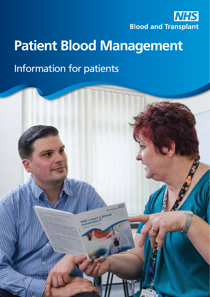

# **Patient Blood Management**

# Information for patients

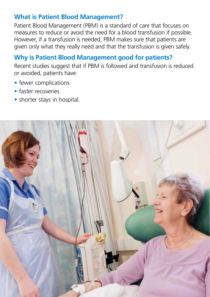### **What is Patient Blood Management?**

Patient Blood Management (PBM) is a standard of care that focuses on measures to reduce or avoid the need for a blood transfusion if possible. However, if a transfusion is needed, PBM makes sure that patients are given only what they really need and that the transfusion is given safely.

# **Why is Patient Blood Management good for patients?**

Recent studies suggest that if PBM is followed and transfusion is reduced or avoided, patients have:

- fewer complications
- faster recoveries
- shorter stays in hospital.

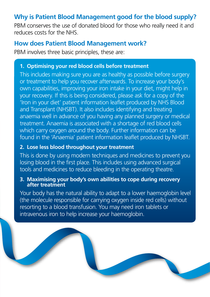## **Why is Patient Blood Management good for the blood supply?**

PBM conserves the use of donated blood for those who really need it and reduces costs for the NHS.

#### **How does Patient Blood Management work?**

PBM involves three basic principles, these are:

#### **1. Optimising your red blood cells before treatment**

This includes making sure you are as healthy as possible before surgery or treatment to help you recover afterwards. To increase your body's own capabilities, improving your iron intake in your diet, might help in your recovery. If this is being considered, please ask for a copy of the 'Iron in your diet' patient information leaflet produced by NHS Blood and Transplant (NHSBT). It also includes identifying and treating anaemia well in advance of you having any planned surgery or medical treatment. Anaemia is associated with a shortage of red blood cells which carry oxygen around the body. Further information can be found in the 'Anaemia' patient information leaflet produced by NHSBT.

#### **2. Lose less blood throughout your treatment**

This is done by using modern techniques and medicines to prevent you losing blood in the first place. This includes using advanced surgical tools and medicines to reduce bleeding in the operating theatre.

#### **3. Maximising your body's own abilities to cope during recovery after treatment**

Your body has the natural ability to adapt to a lower haemoglobin level (the molecule responsible for carrying oxygen inside red cells) without resorting to a blood transfusion. You may need iron tablets or intravenous iron to help increase your haemoglobin.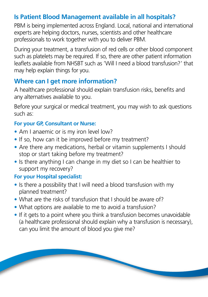## **Is Patient Blood Management available in all hospitals?**

PBM is being implemented across England. Local, national and international experts are helping doctors, nurses, scientists and other healthcare professionals to work together with you to deliver PBM.

During your treatment, a transfusion of red cells or other blood component such as platelets may be required. If so, there are other patient information leaflets available from NHSBT such as 'Will I need a blood transfusion?' that may help explain things for you.

#### **Where can I get more information?**

A healthcare professional should explain transfusion risks, benefits and any alternatives available to you.

Before your surgical or medical treatment, you may wish to ask questions such as:

#### **For your GP, Consultant or Nurse:**

- Am I anaemic or is my iron level low?
- If so, how can it be improved before my treatment?
- Are there any medications, herbal or vitamin supplements I should stop or start taking before my treatment?
- Is there anything I can change in my diet so I can be healthier to support my recovery?

#### **For your Hospital specialist:**

**Septiment** 

- Is there a possibility that I will need a blood transfusion with my planned treatment?
- What are the risks of transfusion that I should be aware of?
- What options are available to me to avoid a transfusion?
- If it gets to a point where you think a transfusion becomes unavoidable (a healthcare professional should explain why a transfusion is necessary), can you limit the amount of blood you give me?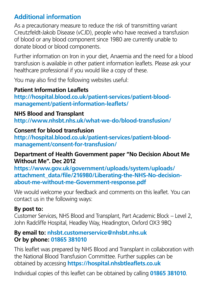## **Additional information**

As a precautionary measure to reduce the risk of transmitting variant Creutzfeldt-Jakob Disease (vCJD), people who have received a transfusion of blood or any blood component since 1980 are currently unable to donate blood or blood components.

Further information on Iron in your diet, Anaemia and the need for a blood transfusion is available in other patient information leaflets. Please ask your healthcare professional if you would like a copy of these.

You may also find the following websites useful:

#### **Patient Information Leaflets**

**[http://hospital.blood.co.uk/patient-services/patient-blood](http://hospital.blood.co.uk/patient-services/patient-blood-management/patient-information-leaflets/)[management/patient-information-leaflets/](http://hospital.blood.co.uk/patient-services/patient-blood-management/patient-information-leaflets/)**

#### **NHS Blood and Transplant**

**http://www.nhsbt.nhs.uk/what-we-do/blood-transfusion/**

#### **Consent for blood transfusion**

**[http://hospital.blood.co.uk/patient-services/patient-blood](http://hospital.blood.co.uk/patient-services/patient-blood-management/consent-for-transfusion/)[management/consent-for-transfusion/](http://hospital.blood.co.uk/patient-services/patient-blood-management/consent-for-transfusion/)**

#### **Department of Health Government paper "No Decision About Me Without Me". Dec 2012**

**[https://www.gov.uk/government/uploads/system/uploads/](https://www.gov.uk/government/uploads/system/uploads/attachment_data/file/216980/Liberating-the-NHS-No-decision-about-me-without-me-Government-response.pdf) [attachment\\_data/file/216980/Liberating-the-NHS-No-decision](https://www.gov.uk/government/uploads/system/uploads/attachment_data/file/216980/Liberating-the-NHS-No-decision-about-me-without-me-Government-response.pdf)[about-me-without-me-Government-response.pdf](https://www.gov.uk/government/uploads/system/uploads/attachment_data/file/216980/Liberating-the-NHS-No-decision-about-me-without-me-Government-response.pdf)**

We would welcome your feedback and comments on this leaflet. You can contact us in the following ways:

#### **By post to:**

Customer Services, NHS Blood and Transplant, Part Academic Block – Level 2, John Radcliffe Hospital, Headley Way, Headington, Oxford OX3 9BQ

#### **By email to: nhsbt.customerservice@nhsbt.nhs.uk Or by phone: 01865 381010**

This leaflet was prepared by NHS Blood and Transplant in collaboration with the National Blood Transfusion Committee. Further supplies can be obtained by accessing **https://hospital.nhsbtleaflets.co.uk**

Individual copies of this leaflet can be obtained by calling **01865 381010**.